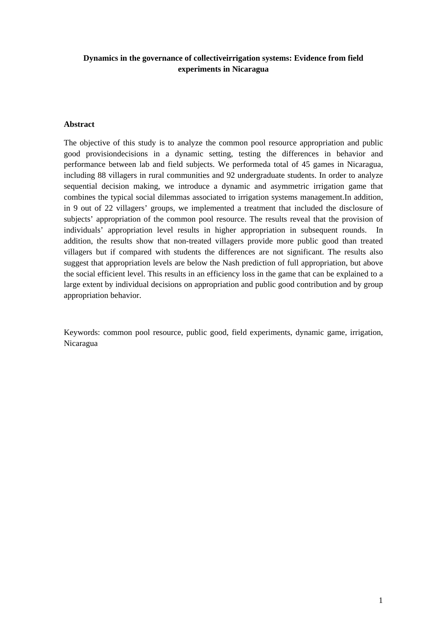# **Dynamics in the governance of collectiveirrigation systems: Evidence from field experiments in Nicaragua**

### **Abstract**

The objective of this study is to analyze the common pool resource appropriation and public good provisiondecisions in a dynamic setting, testing the differences in behavior and performance between lab and field subjects. We performeda total of 45 games in Nicaragua, including 88 villagers in rural communities and 92 undergraduate students. In order to analyze sequential decision making, we introduce a dynamic and asymmetric irrigation game that combines the typical social dilemmas associated to irrigation systems management.In addition, in 9 out of 22 villagers' groups, we implemented a treatment that included the disclosure of subjects' appropriation of the common pool resource. The results reveal that the provision of individuals' appropriation level results in higher appropriation in subsequent rounds. In addition, the results show that non-treated villagers provide more public good than treated villagers but if compared with students the differences are not significant. The results also suggest that appropriation levels are below the Nash prediction of full appropriation, but above the social efficient level. This results in an efficiency loss in the game that can be explained to a large extent by individual decisions on appropriation and public good contribution and by group appropriation behavior.

Keywords: common pool resource, public good, field experiments, dynamic game, irrigation, Nicaragua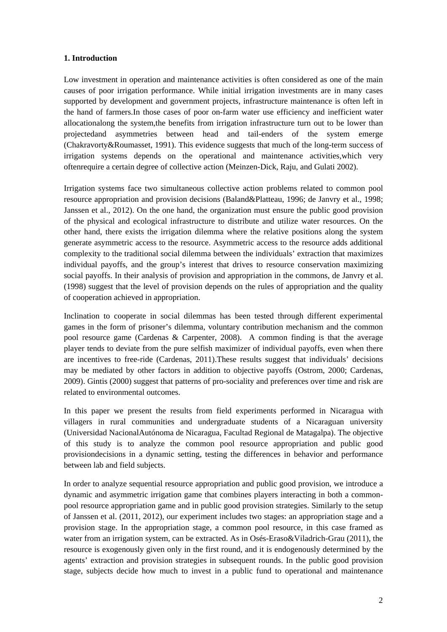## **1. Introduction**

Low investment in operation and maintenance activities is often considered as one of the main causes of poor irrigation performance. While initial irrigation investments are in many cases supported by development and government projects, infrastructure maintenance is often left in the hand of farmers.In those cases of poor on-farm water use efficiency and inefficient water allocationalong the system,the benefits from irrigation infrastructure turn out to be lower than projectedand asymmetries between head and tail-enders of the system emerge (Chakravorty&Roumasset, 1991). This evidence suggests that much of the long-term success of irrigation systems depends on the operational and maintenance activities,which very oftenrequire a certain degree of collective action (Meinzen-Dick, Raju, and Gulati 2002).

Irrigation systems face two simultaneous collective action problems related to common pool resource appropriation and provision decisions (Baland&Platteau, 1996; de Janvry et al., 1998; Janssen et al., 2012). On the one hand, the organization must ensure the public good provision of the physical and ecological infrastructure to distribute and utilize water resources. On the other hand, there exists the irrigation dilemma where the relative positions along the system generate asymmetric access to the resource. Asymmetric access to the resource adds additional complexity to the traditional social dilemma between the individuals' extraction that maximizes individual payoffs, and the group's interest that drives to resource conservation maximizing social payoffs. In their analysis of provision and appropriation in the commons, de Janvry et al. (1998) suggest that the level of provision depends on the rules of appropriation and the quality of cooperation achieved in appropriation.

Inclination to cooperate in social dilemmas has been tested through different experimental games in the form of prisoner's dilemma, voluntary contribution mechanism and the common pool resource game (Cardenas & Carpenter, 2008). A common finding is that the average player tends to deviate from the pure selfish maximizer of individual payoffs, even when there are incentives to free-ride (Cardenas, 2011).These results suggest that individuals' decisions may be mediated by other factors in addition to objective payoffs (Ostrom, 2000; Cardenas, 2009). Gintis (2000) suggest that patterns of pro-sociality and preferences over time and risk are related to environmental outcomes.

In this paper we present the results from field experiments performed in Nicaragua with villagers in rural communities and undergraduate students of a Nicaraguan university (Universidad NacionalAutónoma de Nicaragua, Facultad Regional de Matagalpa). The objective of this study is to analyze the common pool resource appropriation and public good provisiondecisions in a dynamic setting, testing the differences in behavior and performance between lab and field subjects.

In order to analyze sequential resource appropriation and public good provision, we introduce a dynamic and asymmetric irrigation game that combines players interacting in both a commonpool resource appropriation game and in public good provision strategies. Similarly to the setup of Janssen et al. (2011, 2012), our experiment includes two stages: an appropriation stage and a provision stage. In the appropriation stage, a common pool resource, in this case framed as water from an irrigation system, can be extracted. As in Osés-Eraso&Viladrich-Grau (2011), the resource is exogenously given only in the first round, and it is endogenously determined by the agents' extraction and provision strategies in subsequent rounds. In the public good provision stage, subjects decide how much to invest in a public fund to operational and maintenance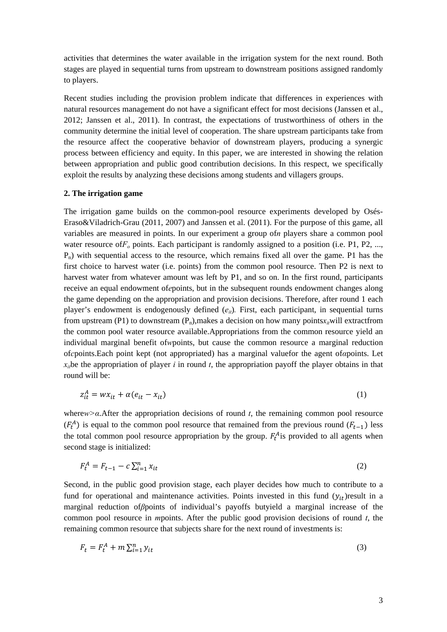activities that determines the water available in the irrigation system for the next round. Both stages are played in sequential turns from upstream to downstream positions assigned randomly to players.

Recent studies including the provision problem indicate that differences in experiences with natural resources management do not have a significant effect for most decisions (Janssen et al., 2012; Janssen et al., 2011). In contrast, the expectations of trustworthiness of others in the community determine the initial level of cooperation. The share upstream participants take from the resource affect the cooperative behavior of downstream players, producing a synergic process between efficiency and equity. In this paper, we are interested in showing the relation between appropriation and public good contribution decisions. In this respect, we specifically exploit the results by analyzing these decisions among students and villagers groups.

#### **2. The irrigation game**

The irrigation game builds on the common-pool resource experiments developed by Osés-Eraso&Viladrich-Grau (2011, 2007) and Janssen et al. (2011). For the purpose of this game, all variables are measured in points. In our experiment a group of*n* players share a common pool water resource of  $F<sub>o</sub>$  points. Each participant is randomly assigned to a position (i.e. P1, P2, ...,  $P_n$ ) with sequential access to the resource, which remains fixed all over the game. P1 has the first choice to harvest water (i.e. points) from the common pool resource. Then P2 is next to harvest water from whatever amount was left by P1, and so on. In the first round, participants receive an equal endowment of*e*points, but in the subsequent rounds endowment changes along the game depending on the appropriation and provision decisions. Therefore, after round 1 each player's endowment is endogenously defined  $(e_{ii})$ . First, each participant, in sequential turns from upstream (P1) to downstream  $(P_n)$ , makes a decision on how many points $x_i$  will extractfrom the common pool water resource available.Appropriations from the common resource yield an individual marginal benefit of*w*points, but cause the common resource a marginal reduction of*c*points.Each point kept (not appropriated) has a marginal valuefor the agent of*α*points. Let  $x_i$  be the appropriation of player *i* in round *t*, the appropriation payoff the player obtains in that round will be:

$$
z_{it}^A = wx_{it} + \alpha(e_{it} - x_{it})
$$
\n<sup>(1)</sup>

where*w>α*.After the appropriation decisions of round *t*, the remaining common pool resource  $(F_t^A)$  is equal to the common pool resource that remained from the previous round  $(F_{t-1})$  less the total common pool resource appropriation by the group.  $F_t^A$  is provided to all agents when second stage is initialized:

$$
F_t^A = F_{t-1} - c \sum_{i=1}^n x_{it}
$$
 (2)

Second, in the public good provision stage, each player decides how much to contribute to a fund for operational and maintenance activities. Points invested in this fund  $(y<sub>it</sub>)$  result in a marginal reduction of*β*points of individual's payoffs butyield a marginal increase of the common pool resource in *m*points. After the public good provision decisions of round *t*, the remaining common resource that subjects share for the next round of investments is:

$$
F_t = F_t^A + m \sum_{i=1}^n y_{it} \tag{3}
$$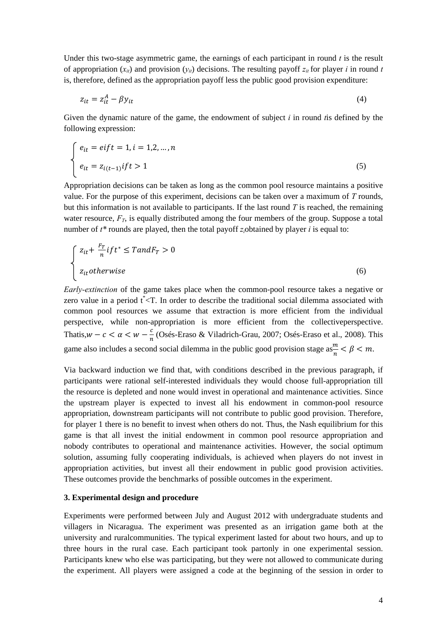Under this two-stage asymmetric game, the earnings of each participant in round *t* is the result of appropriation  $(x_{it})$  and provision  $(y_{it})$  decisions. The resulting payoff  $z_{it}$  for player *i* in round *t* is, therefore, defined as the appropriation payoff less the public good provision expenditure:

$$
z_{it} = z_{it}^A - \beta y_{it} \tag{4}
$$

Given the dynamic nature of the game, the endowment of subject *i* in round *t*is defined by the following expression:

$$
\begin{cases}\n e_{it} = eif t = 1, i = 1, 2, \dots, n \\
e_{it} = z_{i(t-1)}if t > 1\n\end{cases}
$$
\n(5)

Appropriation decisions can be taken as long as the common pool resource maintains a positive value. For the purpose of this experiment, decisions can be taken over a maximum of *T* rounds, but this information is not available to participants. If the last round *T* is reached, the remaining water resource,  $F_T$ , is equally distributed among the four members of the group. Suppose a total number of *t\** rounds are played, then the total payoff *zi*obtained by player *i* is equal to:

$$
\begin{cases}\n z_{it} + \frac{F_T}{n} if t^* \leq T and F_T > 0 \\
z_{it} otherwise\n\end{cases}
$$
\n(6)

*Early-extinction* of the game takes place when the common-pool resource takes a negative or zero value in a period  $t^{\dagger}$  < T. In order to describe the traditional social dilemma associated with common pool resources we assume that extraction is more efficient from the individual perspective, while non-appropriation is more efficient from the collectiveperspective. Thatis, $w - c < \alpha < w - \frac{c}{n}$  (Osés-Eraso & Viladrich-Grau, 2007; Osés-Eraso et al., 2008). This game also includes a second social dilemma in the public good provision stage as  $\frac{m}{n} < \beta < m$ .

Via backward induction we find that, with conditions described in the previous paragraph, if participants were rational self-interested individuals they would choose full-appropriation till the resource is depleted and none would invest in operational and maintenance activities. Since the upstream player is expected to invest all his endowment in common-pool resource appropriation, downstream participants will not contribute to public good provision. Therefore, for player 1 there is no benefit to invest when others do not. Thus, the Nash equilibrium for this game is that all invest the initial endowment in common pool resource appropriation and nobody contributes to operational and maintenance activities. However, the social optimum solution, assuming fully cooperating individuals, is achieved when players do not invest in appropriation activities, but invest all their endowment in public good provision activities. These outcomes provide the benchmarks of possible outcomes in the experiment.

### **3. Experimental design and procedure**

Experiments were performed between July and August 2012 with undergraduate students and villagers in Nicaragua. The experiment was presented as an irrigation game both at the university and ruralcommunities. The typical experiment lasted for about two hours, and up to three hours in the rural case. Each participant took partonly in one experimental session. Participants knew who else was participating, but they were not allowed to communicate during the experiment. All players were assigned a code at the beginning of the session in order to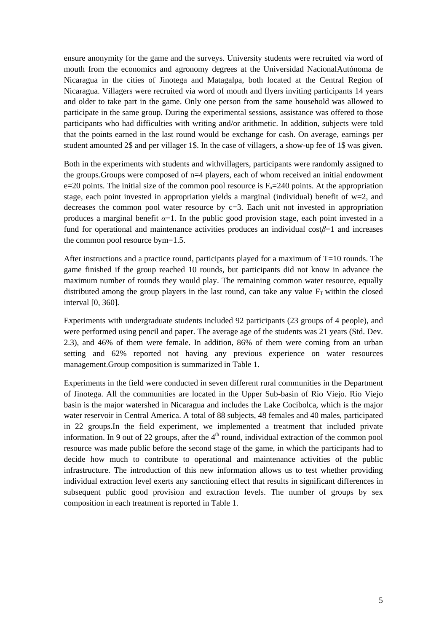ensure anonymity for the game and the surveys. University students were recruited via word of mouth from the economics and agronomy degrees at the Universidad NacionalAutónoma de Nicaragua in the cities of Jinotega and Matagalpa, both located at the Central Region of Nicaragua. Villagers were recruited via word of mouth and flyers inviting participants 14 years and older to take part in the game. Only one person from the same household was allowed to participate in the same group. During the experimental sessions, assistance was offered to those participants who had difficulties with writing and/or arithmetic. In addition, subjects were told that the points earned in the last round would be exchange for cash. On average, earnings per student amounted 2\$ and per villager 1\$. In the case of villagers, a show-up fee of 1\$ was given.

Both in the experiments with students and withvillagers, participants were randomly assigned to the groups.Groups were composed of n=4 players, each of whom received an initial endowment e=20 points. The initial size of the common pool resource is  $F_0$ =240 points. At the appropriation stage, each point invested in appropriation yields a marginal (individual) benefit of  $w=2$ , and decreases the common pool water resource by  $c=3$ . Each unit not invested in appropriation produces a marginal benefit  $\alpha=1$ . In the public good provision stage, each point invested in a fund for operational and maintenance activities produces an individual cost*β*=1 and increases the common pool resource bym=1.5.

After instructions and a practice round, participants played for a maximum of  $T=10$  rounds. The game finished if the group reached 10 rounds, but participants did not know in advance the maximum number of rounds they would play. The remaining common water resource, equally distributed among the group players in the last round, can take any value  $F_T$  within the closed interval [0, 360].

Experiments with undergraduate students included 92 participants (23 groups of 4 people), and were performed using pencil and paper. The average age of the students was 21 years (Std. Dev. 2.3), and 46% of them were female. In addition, 86% of them were coming from an urban setting and 62% reported not having any previous experience on water resources management.Group composition is summarized in Table 1.

Experiments in the field were conducted in seven different rural communities in the Department of Jinotega. All the communities are located in the Upper Sub-basin of Rio Viejo. Rio Viejo basin is the major watershed in Nicaragua and includes the Lake Cocibolca, which is the major water reservoir in Central America. A total of 88 subjects, 48 females and 40 males, participated in 22 groups.In the field experiment, we implemented a treatment that included private information. In 9 out of 22 groups, after the  $4<sup>th</sup>$  round, individual extraction of the common pool resource was made public before the second stage of the game, in which the participants had to decide how much to contribute to operational and maintenance activities of the public infrastructure. The introduction of this new information allows us to test whether providing individual extraction level exerts any sanctioning effect that results in significant differences in subsequent public good provision and extraction levels. The number of groups by sex composition in each treatment is reported in Table 1.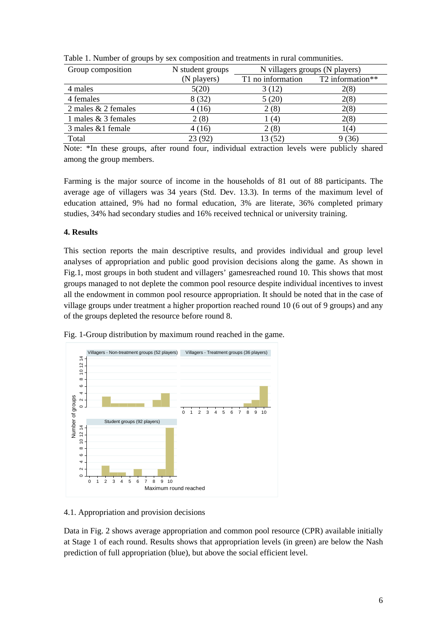| Group composition     | N student groups | N villagers groups (N players) |                  |
|-----------------------|------------------|--------------------------------|------------------|
|                       | (N players)      | T1 no information              | T2 information** |
| 4 males               | 5(20)            | 3(12)                          | 2(8)             |
| 4 females             | 8(32)            | 5(20)                          | 2(8)             |
| 2 males $& 2$ females | 4(16)            | 2(8)                           | 2(8)             |
| 1 males & 3 females   | 2(8)             | l (4)                          | 2(8)             |
| 3 males &1 female     | 4(16)            | 2(8)                           | 1(4)             |
| Total                 | 23 (92)          | 13 (52)                        | 9(36)            |

Table 1. Number of groups by sex composition and treatments in rural communities.

Note: \*In these groups, after round four, individual extraction levels were publicly shared among the group members.

Farming is the major source of income in the households of 81 out of 88 participants. The average age of villagers was 34 years (Std. Dev. 13.3). In terms of the maximum level of education attained, 9% had no formal education, 3% are literate, 36% completed primary studies, 34% had secondary studies and 16% received technical or university training.

## **4. Results**

This section reports the main descriptive results, and provides individual and group level analyses of appropriation and public good provision decisions along the game. As shown in Fig.1, most groups in both student and villagers' gamesreached round 10. This shows that most groups managed to not deplete the common pool resource despite individual incentives to invest all the endowment in common pool resource appropriation. It should be noted that in the case of village groups under treatment a higher proportion reached round 10 (6 out of 9 groups) and any of the groups depleted the resource before round 8.





### 4.1. Appropriation and provision decisions

Data in Fig. 2 shows average appropriation and common pool resource (CPR) available initially at Stage 1 of each round. Results shows that appropriation levels (in green) are below the Nash prediction of full appropriation (blue), but above the social efficient level.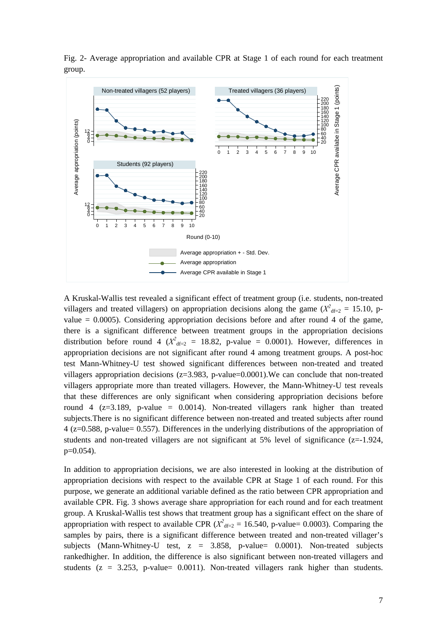

Fig. 2- Average appropriation and available CPR at Stage 1 of each round for each treatment group.

A Kruskal-Wallis test revealed a significant effect of treatment group (i.e. students, non-treated villagers and treated villagers) on appropriation decisions along the game ( $X^2$ <sub>df=2</sub> = 15.10, pvalue  $= 0.0005$ ). Considering appropriation decisions before and after round 4 of the game, there is a significant difference between treatment groups in the appropriation decisions distribution before round 4 ( $X^2_{\text{df}=2}$  = 18.82, p-value = 0.0001). However, differences in appropriation decisions are not significant after round 4 among treatment groups. A post-hoc test Mann-Whitney-U test showed significant differences between non-treated and treated villagers appropriation decisions  $(z=3.983, p-value=0.0001)$ . We can conclude that non-treated villagers appropriate more than treated villagers. However, the Mann-Whitney-U test reveals that these differences are only significant when considering appropriation decisions before round 4 ( $z=3.189$ , p-value = 0.0014). Non-treated villagers rank higher than treated subjects.There is no significant difference between non-treated and treated subjects after round 4 (z=0.588, p-value= 0.557). Differences in the underlying distributions of the appropriation of students and non-treated villagers are not significant at 5% level of significance (z=-1.924, p=0.054).

In addition to appropriation decisions, we are also interested in looking at the distribution of appropriation decisions with respect to the available CPR at Stage 1 of each round. For this purpose, we generate an additional variable defined as the ratio between CPR appropriation and available CPR. Fig. 3 shows average share appropriation for each round and for each treatment group. A Kruskal-Wallis test shows that treatment group has a significant effect on the share of appropriation with respect to available CPR ( $X^2$ <sub>df=2</sub> = 16.540, p-value= 0.0003). Comparing the samples by pairs, there is a significant difference between treated and non-treated villager's subjects (Mann-Whitney-U test, z = 3.858, p-value= 0.0001). Non-treated subjects rankedhigher. In addition, the difference is also significant between non-treated villagers and students ( $z = 3.253$ , p-value= 0.0011). Non-treated villagers rank higher than students.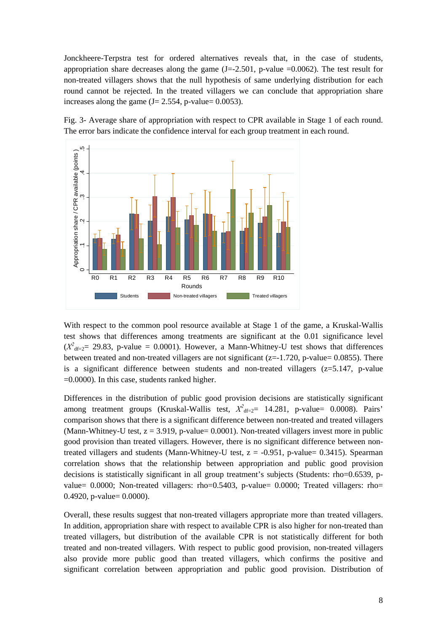Jonckheere-Terpstra test for ordered alternatives reveals that, in the case of students, appropriation share decreases along the game  $(J=-2.501, p-value = 0.0062)$ . The test result for non-treated villagers shows that the null hypothesis of same underlying distribution for each round cannot be rejected. In the treated villagers we can conclude that appropriation share increases along the game  $(J = 2.554, p-value = 0.0053)$ .

Fig. 3- Average share of appropriation with respect to CPR available in Stage 1 of each round. The error bars indicate the confidence interval for each group treatment in each round.



With respect to the common pool resource available at Stage 1 of the game, a Kruskal-Wallis test shows that differences among treatments are significant at the 0.01 significance level  $(X^2_{\text{df}=2} = 29.83, \text{ p-value } = 0.0001$ ). However, a Mann-Whitney-U test shows that differences between treated and non-treated villagers are not significant ( $z=1.720$ , p-value= 0.0855). There is a significant difference between students and non-treated villagers  $(z=5.147, p-value$ =0.0000). In this case, students ranked higher.

Differences in the distribution of public good provision decisions are statistically significant among treatment groups (Kruskal-Wallis test,  $X^2$ <sub>df=2</sub>= 14.281, p-value= 0.0008). Pairs' comparison shows that there is a significant difference between non-treated and treated villagers (Mann-Whitney-U test,  $z = 3.919$ , p-value= 0.0001). Non-treated villagers invest more in public good provision than treated villagers. However, there is no significant difference between nontreated villagers and students (Mann-Whitney-U test,  $z = -0.951$ , p-value= 0.3415). Spearman correlation shows that the relationship between appropriation and public good provision decisions is statistically significant in all group treatment's subjects (Students: rho=0.6539, pvalue= 0.0000; Non-treated villagers: rho=0.5403, p-value= 0.0000; Treated villagers: rho= 0.4920, p-value= 0.0000).

Overall, these results suggest that non-treated villagers appropriate more than treated villagers. In addition, appropriation share with respect to available CPR is also higher for non-treated than treated villagers, but distribution of the available CPR is not statistically different for both treated and non-treated villagers. With respect to public good provision, non-treated villagers also provide more public good than treated villagers, which confirms the positive and significant correlation between appropriation and public good provision. Distribution of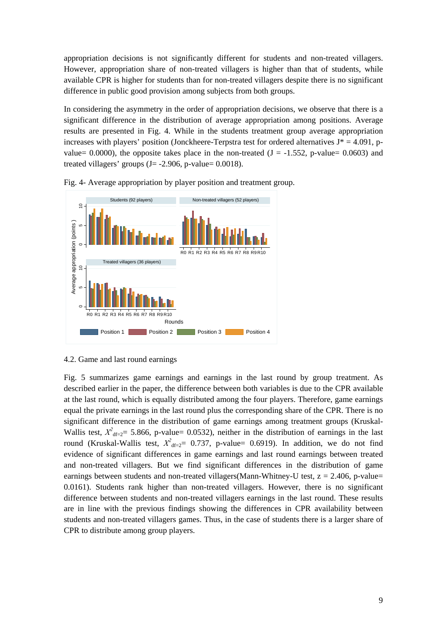appropriation decisions is not significantly different for students and non-treated villagers. However, appropriation share of non-treated villagers is higher than that of students, while available CPR is higher for students than for non-treated villagers despite there is no significant difference in public good provision among subjects from both groups.

In considering the asymmetry in the order of appropriation decisions, we observe that there is a significant difference in the distribution of average appropriation among positions. Average results are presented in Fig. 4. While in the students treatment group average appropriation increases with players' position (Jonckheere-Terpstra test for ordered alternatives  $J^* = 4.091$ , pvalue= 0.0000), the opposite takes place in the non-treated  $(J = -1.552, p-value = 0.0603)$  and treated villagers' groups  $(J = -2.906, p-value = 0.0018)$ .





#### 4.2. Game and last round earnings

Fig. 5 summarizes game earnings and earnings in the last round by group treatment. As described earlier in the paper, the difference between both variables is due to the CPR available at the last round, which is equally distributed among the four players. Therefore, game earnings equal the private earnings in the last round plus the corresponding share of the CPR. There is no significant difference in the distribution of game earnings among treatment groups (Kruskal-Wallis test,  $X^2_{df=2}$  = 5.866, p-value= 0.0532), neither in the distribution of earnings in the last round (Kruskal-Wallis test,  $X^2_{df=2}$  0.737, p-value = 0.6919). In addition, we do not find evidence of significant differences in game earnings and last round earnings between treated and non-treated villagers. But we find significant differences in the distribution of game earnings between students and non-treated villagers(Mann-Whitney-U test,  $z = 2.406$ , p-value= 0.0161). Students rank higher than non-treated villagers. However, there is no significant difference between students and non-treated villagers earnings in the last round. These results are in line with the previous findings showing the differences in CPR availability between students and non-treated villagers games. Thus, in the case of students there is a larger share of CPR to distribute among group players.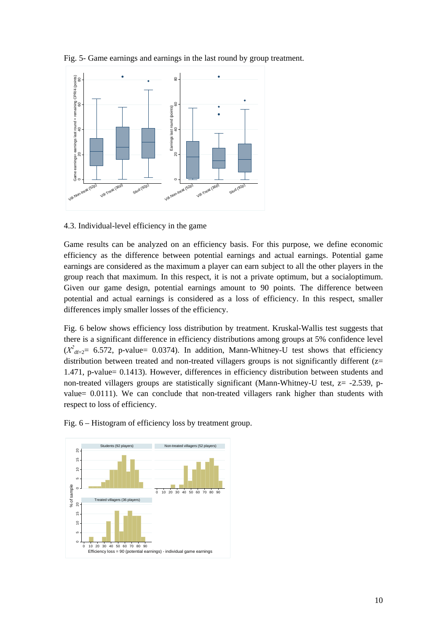

Fig. 5- Game earnings and earnings in the last round by group treatment.

4.3. Individual-level efficiency in the game

Game results can be analyzed on an efficiency basis. For this purpose, we define economic efficiency as the difference between potential earnings and actual earnings. Potential game earnings are considered as the maximum a player can earn subject to all the other players in the group reach that maximum. In this respect, it is not a private optimum, but a socialoptimum. Given our game design, potential earnings amount to 90 points. The difference between potential and actual earnings is considered as a loss of efficiency. In this respect, smaller differences imply smaller losses of the efficiency.

Fig. 6 below shows efficiency loss distribution by treatment. Kruskal-Wallis test suggests that there is a significant difference in efficiency distributions among groups at 5% confidence level  $(X^2_{\text{df}=2}$  = 6.572, p-value= 0.0374). In addition, Mann-Whitney-U test shows that efficiency distribution between treated and non-treated villagers groups is not significantly different  $(z=$ 1.471, p-value= 0.1413). However, differences in efficiency distribution between students and non-treated villagers groups are statistically significant (Mann-Whitney-U test,  $z = -2.539$ , pvalue= 0.0111). We can conclude that non-treated villagers rank higher than students with respect to loss of efficiency.



Fig. 6 – Histogram of efficiency loss by treatment group.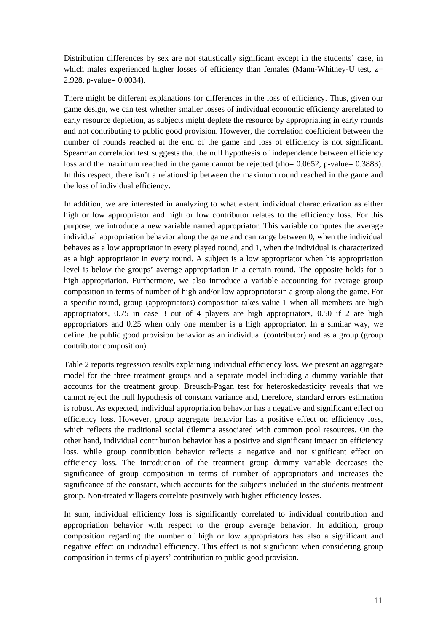Distribution differences by sex are not statistically significant except in the students' case, in which males experienced higher losses of efficiency than females (Mann-Whitney-U test,  $z=$ 2.928, p-value= 0.0034).

There might be different explanations for differences in the loss of efficiency. Thus, given our game design, we can test whether smaller losses of individual economic efficiency arerelated to early resource depletion, as subjects might deplete the resource by appropriating in early rounds and not contributing to public good provision. However, the correlation coefficient between the number of rounds reached at the end of the game and loss of efficiency is not significant. Spearman correlation test suggests that the null hypothesis of independence between efficiency loss and the maximum reached in the game cannot be rejected (rho= 0.0652, p-value= 0.3883). In this respect, there isn't a relationship between the maximum round reached in the game and the loss of individual efficiency.

In addition, we are interested in analyzing to what extent individual characterization as either high or low appropriator and high or low contributor relates to the efficiency loss. For this purpose, we introduce a new variable named appropriator. This variable computes the average individual appropriation behavior along the game and can range between 0, when the individual behaves as a low appropriator in every played round, and 1, when the individual is characterized as a high appropriator in every round. A subject is a low appropriator when his appropriation level is below the groups' average appropriation in a certain round. The opposite holds for a high appropriation. Furthermore, we also introduce a variable accounting for average group composition in terms of number of high and/or low appropriatorsin a group along the game. For a specific round, group (appropriators) composition takes value 1 when all members are high appropriators, 0.75 in case 3 out of 4 players are high appropriators, 0.50 if 2 are high appropriators and 0.25 when only one member is a high appropriator. In a similar way, we define the public good provision behavior as an individual (contributor) and as a group (group contributor composition).

Table 2 reports regression results explaining individual efficiency loss. We present an aggregate model for the three treatment groups and a separate model including a dummy variable that accounts for the treatment group. Breusch-Pagan test for heteroskedasticity reveals that we cannot reject the null hypothesis of constant variance and, therefore, standard errors estimation is robust. As expected, individual appropriation behavior has a negative and significant effect on efficiency loss. However, group aggregate behavior has a positive effect on efficiency loss, which reflects the traditional social dilemma associated with common pool resources. On the other hand, individual contribution behavior has a positive and significant impact on efficiency loss, while group contribution behavior reflects a negative and not significant effect on efficiency loss. The introduction of the treatment group dummy variable decreases the significance of group composition in terms of number of appropriators and increases the significance of the constant, which accounts for the subjects included in the students treatment group. Non-treated villagers correlate positively with higher efficiency losses.

In sum, individual efficiency loss is significantly correlated to individual contribution and appropriation behavior with respect to the group average behavior. In addition, group composition regarding the number of high or low appropriators has also a significant and negative effect on individual efficiency. This effect is not significant when considering group composition in terms of players' contribution to public good provision.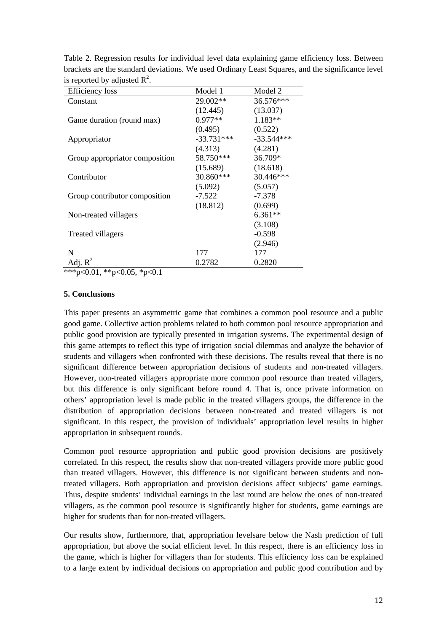| <b>Efficiency</b> loss         | Model 1      | Model 2      |
|--------------------------------|--------------|--------------|
| Constant                       | 29.002**     | 36.576***    |
|                                | (12.445)     | (13.037)     |
| Game duration (round max)      | 0.977**      | $1.183**$    |
|                                | (0.495)      | (0.522)      |
| Appropriator                   | $-33.731***$ | $-33.544***$ |
|                                | (4.313)      | (4.281)      |
| Group appropriator composition | 58.750***    | 36.709*      |
|                                | (15.689)     | (18.618)     |
| Contributor                    | 30.860***    | 30.446***    |
|                                | (5.092)      | (5.057)      |
| Group contributor composition  | $-7.522$     | $-7.378$     |
|                                | (18.812)     | (0.699)      |
| Non-treated villagers          |              | $6.361**$    |
|                                |              | (3.108)      |
| Treated villagers              |              | $-0.598$     |
|                                |              | (2.946)      |
| N                              | 177          | 177          |
| Adj. $R^2$                     | 0.2782       | 0.2820       |

Table 2. Regression results for individual level data explaining game efficiency loss. Between brackets are the standard deviations. We used Ordinary Least Squares, and the significance level is reported by adjusted  $\mathbb{R}^2$ .

\*\*\*p<0.01, \*\*p<0.05, \*p<0.1

## **5. Conclusions**

This paper presents an asymmetric game that combines a common pool resource and a public good game. Collective action problems related to both common pool resource appropriation and public good provision are typically presented in irrigation systems. The experimental design of this game attempts to reflect this type of irrigation social dilemmas and analyze the behavior of students and villagers when confronted with these decisions. The results reveal that there is no significant difference between appropriation decisions of students and non-treated villagers. However, non-treated villagers appropriate more common pool resource than treated villagers, but this difference is only significant before round 4. That is, once private information on others' appropriation level is made public in the treated villagers groups, the difference in the distribution of appropriation decisions between non-treated and treated villagers is not significant. In this respect, the provision of individuals' appropriation level results in higher appropriation in subsequent rounds.

Common pool resource appropriation and public good provision decisions are positively correlated. In this respect, the results show that non-treated villagers provide more public good than treated villagers. However, this difference is not significant between students and nontreated villagers. Both appropriation and provision decisions affect subjects' game earnings. Thus, despite students' individual earnings in the last round are below the ones of non-treated villagers, as the common pool resource is significantly higher for students, game earnings are higher for students than for non-treated villagers.

Our results show, furthermore, that, appropriation levelsare below the Nash prediction of full appropriation, but above the social efficient level. In this respect, there is an efficiency loss in the game, which is higher for villagers than for students. This efficiency loss can be explained to a large extent by individual decisions on appropriation and public good contribution and by